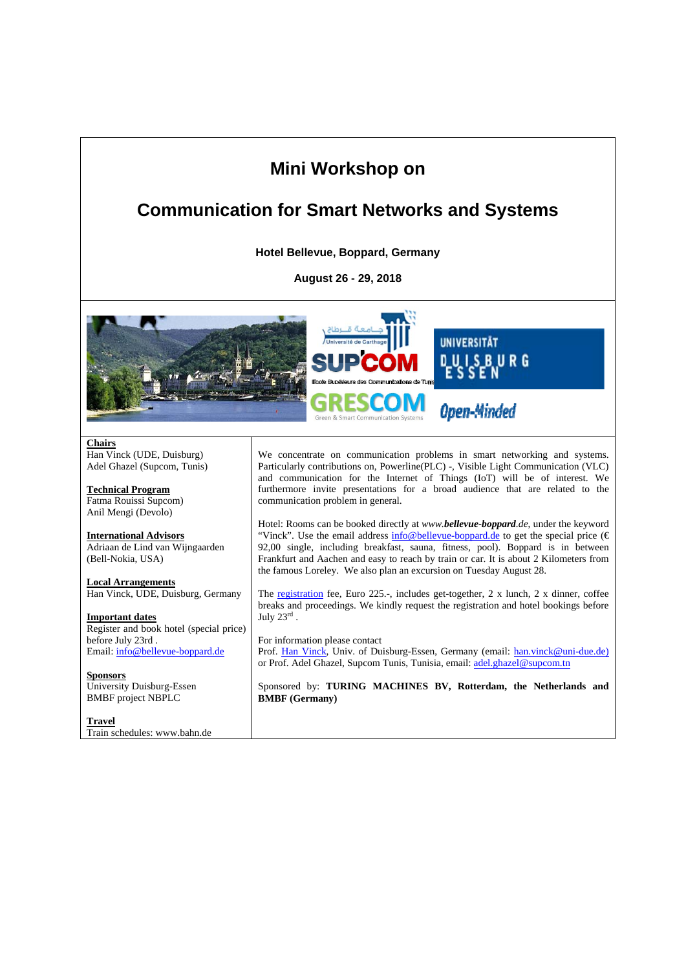## **Mini Workshop on**

### **Communication for Smart Networks and Systems**

**Hotel Bellevue, Boppard, Germany** 

**August 26 - 29, 2018** 



**Chairs**  Han Vinck (UDE, Duisburg) Adel Ghazel (Supcom, Tunis)

**Technical Program**  Fatma Rouissi Supcom) Anil Mengi (Devolo)

**International Advisors**  Adriaan de Lind van Wijngaarden (Bell-Nokia, USA)

**Local Arrangements**  Han Vinck, UDE, Duisburg, Germany

**Important dates**  Register and book hotel (special price) before July 23rd . Email: info@bellevue-boppard.de

**Sponsors**  University Duisburg-Essen BMBF project NBPLC

**Travel**  Train schedules: www.bahn.de

We concentrate on communication problems in smart networking and systems. Particularly contributions on, Powerline(PLC) -, Visible Light Communication (VLC) and communication for the Internet of Things (IoT) will be of interest. We furthermore invite presentations for a broad audience that are related to the communication problem in general.

Hotel: Rooms can be booked directly at *www.bellevue-boppard.de*, under the keyword "Vinck". Use the email address  $\frac{info@bellevue-boppard.de}{topord.de}$  to get the special price ( $\epsilon$ 92,00 single, including breakfast, sauna, fitness, pool). Boppard is in between Frankfurt and Aachen and easy to reach by train or car. It is about 2 Kilometers from the famous Loreley. We also plan an excursion on Tuesday August 28.

The registration fee, Euro 225.-, includes get-together, 2 x lunch, 2 x dinner, coffee breaks and proceedings. We kindly request the registration and hotel bookings before July 23rd .

For information please contact Prof. Han Vinck, Univ. of Duisburg-Essen, Germany (email: han.vinck@uni-due.de) or Prof. Adel Ghazel, Supcom Tunis, Tunisia, email: adel.ghazel@supcom.tn

Sponsored by: **TURING MACHINES BV, Rotterdam, the Netherlands and BMBF (Germany)**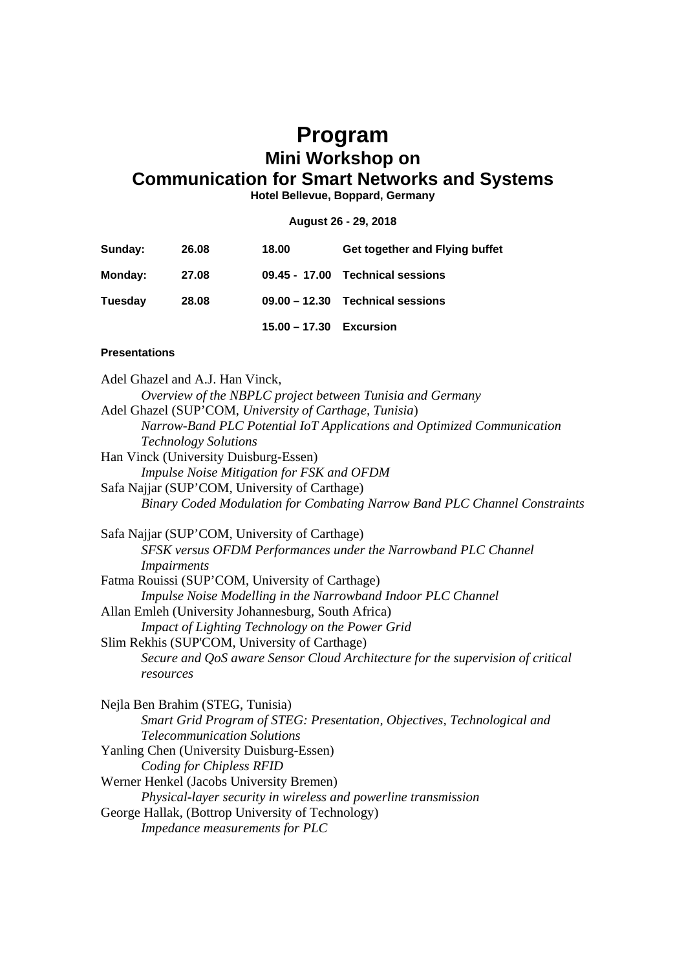#### **Program Mini Workshop on Communication for Smart Networks and Systems**

**Hotel Bellevue, Boppard, Germany** 

#### **August 26 - 29, 2018**

| Sunday:        | 26.08 | 18.00           | Get together and Flying buffet     |
|----------------|-------|-----------------|------------------------------------|
| <b>Monday:</b> | 27.08 |                 | 09.45 - 17.00 Technical sessions   |
| Tuesday        | 28.08 |                 | $09.00 - 12.30$ Technical sessions |
|                |       | $15.00 - 17.30$ | Excursion                          |

#### **Presentations**

Adel Ghazel and A.J. Han Vinck, *Overview of the NBPLC project between Tunisia and Germany*  Adel Ghazel (SUP'COM, *University of Carthage, Tunisia*) *Narrow-Band PLC Potential IoT Applications and Optimized Communication Technology Solutions*  Han Vinck (University Duisburg-Essen) *Impulse Noise Mitigation for FSK and OFDM*  Safa Najjar (SUP'COM, University of Carthage) *Binary Coded Modulation for Combating Narrow Band PLC Channel Constraints*  Safa Najjar (SUP'COM, University of Carthage) *SFSK versus OFDM Performances under the Narrowband PLC Channel Impairments*  Fatma Rouissi (SUP'COM, University of Carthage) *Impulse Noise Modelling in the Narrowband Indoor PLC Channel*  Allan Emleh (University Johannesburg, South Africa) *Impact of Lighting Technology on the Power Grid*  Slim Rekhis (SUP'COM, University of Carthage) *Secure and QoS aware Sensor Cloud Architecture for the supervision of critical resources*  Nejla Ben Brahim (STEG, Tunisia) *Smart Grid Program of STEG: Presentation, Objectives, Technological and Telecommunication Solutions*  Yanling Chen (University Duisburg-Essen) *Coding for Chipless RFID*  Werner Henkel (Jacobs University Bremen) *Physical-layer security in wireless and powerline transmission* George Hallak, (Bottrop University of Technology) *Impedance measurements for PLC*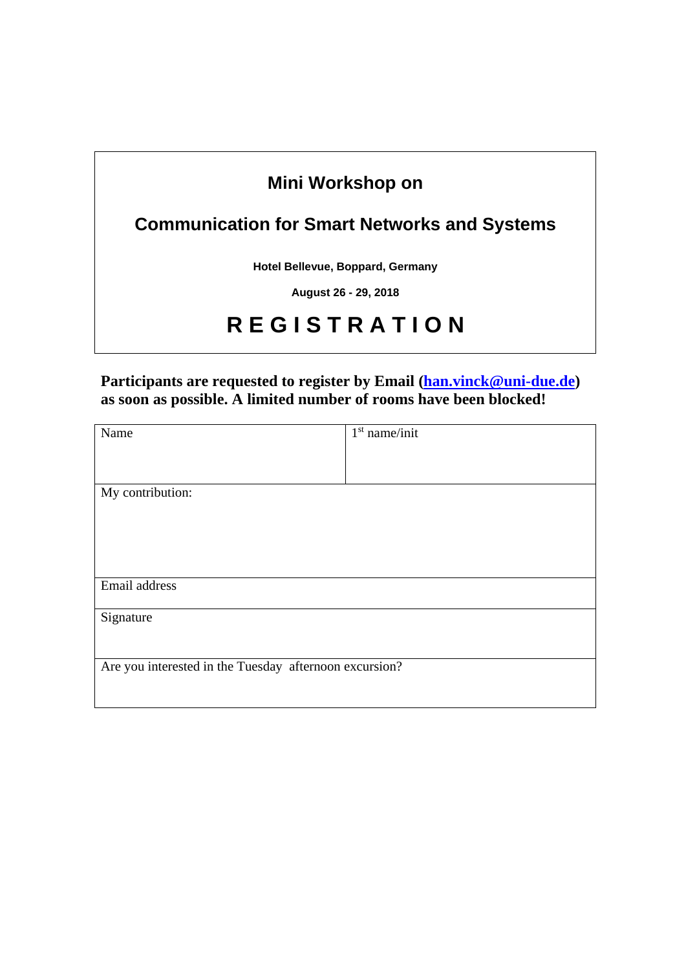### **Mini Workshop on**

## **Communication for Smart Networks and Systems**

**Hotel Bellevue, Boppard, Germany** 

**August 26 - 29, 2018** 

# **R E G I S T R A T I O N**

#### Participants are requested to register by Email (han.vinck@uni-due.de) **as soon as possible. A limited number of rooms have been blocked!**

| Name                                                   | $1st$ name/init |  |  |  |
|--------------------------------------------------------|-----------------|--|--|--|
|                                                        |                 |  |  |  |
|                                                        |                 |  |  |  |
| My contribution:                                       |                 |  |  |  |
|                                                        |                 |  |  |  |
|                                                        |                 |  |  |  |
|                                                        |                 |  |  |  |
|                                                        |                 |  |  |  |
| Email address                                          |                 |  |  |  |
|                                                        |                 |  |  |  |
| Signature                                              |                 |  |  |  |
|                                                        |                 |  |  |  |
|                                                        |                 |  |  |  |
| Are you interested in the Tuesday afternoon excursion? |                 |  |  |  |
|                                                        |                 |  |  |  |